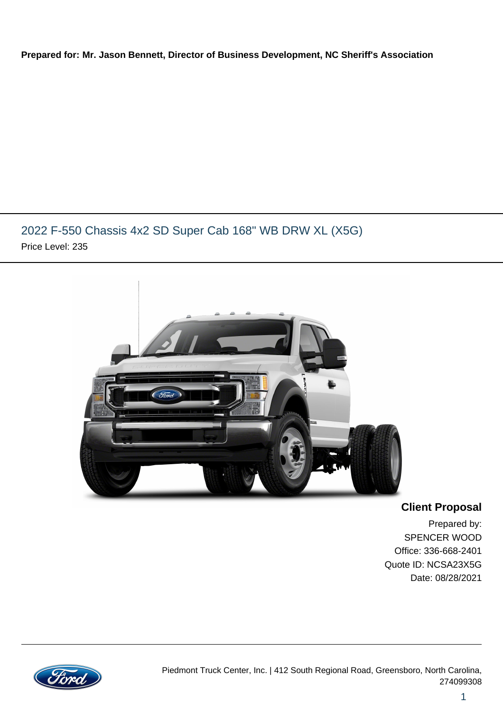#### **Prepared for: Mr. Jason Bennett, Director of Business Development, NC Sheriff's Association**

## 2022 F-550 Chassis 4x2 SD Super Cab 168" WB DRW XL (X5G) Price Level: 235



**Client Proposal**

Prepared by: SPENCER WOOD Office: 336-668-2401 Quote ID: NCSA23X5G Date: 08/28/2021

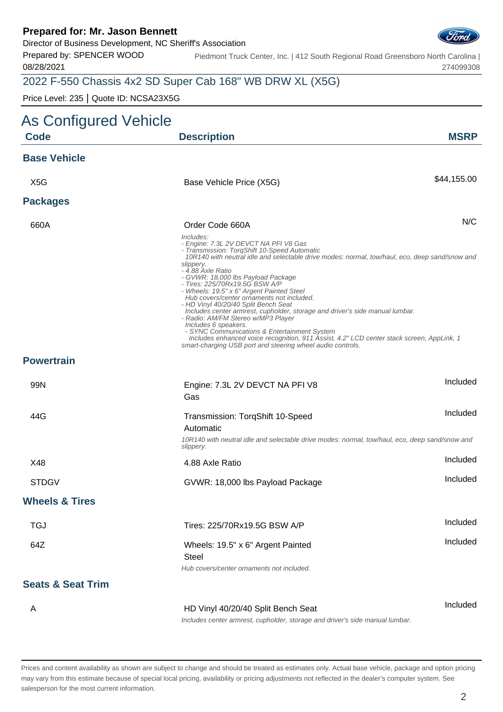Director of Business Development, NC Sheriff's Association

Prepared by: SPENCER WOOD 08/28/2021

Piedmont Truck Center, Inc. | 412 South Regional Road Greensboro North Carolina | 274099308

## 2022 F-550 Chassis 4x2 SD Super Cab 168" WB DRW XL (X5G)

Price Level: 235 | Quote ID: NCSA23X5G

| As Configured Vehicle        |                                                                                                                                                                                                                                                                                                                                                                                                                                                                                                                                                                                                                                                                                                                                                                                                           |             |
|------------------------------|-----------------------------------------------------------------------------------------------------------------------------------------------------------------------------------------------------------------------------------------------------------------------------------------------------------------------------------------------------------------------------------------------------------------------------------------------------------------------------------------------------------------------------------------------------------------------------------------------------------------------------------------------------------------------------------------------------------------------------------------------------------------------------------------------------------|-------------|
| <b>Code</b>                  | <b>Description</b>                                                                                                                                                                                                                                                                                                                                                                                                                                                                                                                                                                                                                                                                                                                                                                                        | <b>MSRP</b> |
| <b>Base Vehicle</b>          |                                                                                                                                                                                                                                                                                                                                                                                                                                                                                                                                                                                                                                                                                                                                                                                                           |             |
| X <sub>5</sub> G             | Base Vehicle Price (X5G)                                                                                                                                                                                                                                                                                                                                                                                                                                                                                                                                                                                                                                                                                                                                                                                  | \$44,155.00 |
| <b>Packages</b>              |                                                                                                                                                                                                                                                                                                                                                                                                                                                                                                                                                                                                                                                                                                                                                                                                           |             |
| 660A                         | Order Code 660A                                                                                                                                                                                                                                                                                                                                                                                                                                                                                                                                                                                                                                                                                                                                                                                           | N/C         |
|                              | Includes:<br>- Engine: 7.3L 2V DEVCT NA PFI V8 Gas<br>- Transmission: TorqShift 10-Speed Automatic<br>10R140 with neutral idle and selectable drive modes: normal, tow/haul, eco, deep sand/snow and<br>slippery.<br>- 4.88 Axle Ratio<br>- GVWR: 18,000 lbs Payload Package<br>- Tires: 225/70Rx19.5G BSW A/P<br>- Wheels: 19.5" x 6" Argent Painted Steel<br>Hub covers/center ornaments not included.<br>- HD Vinyl 40/20/40 Split Bench Seat<br>Includes center armrest, cupholder, storage and driver's side manual lumbar.<br>- Radio: AM/FM Stereo w/MP3 Player<br>Includes 6 speakers.<br>- SYNC Communications & Entertainment System<br>Includes enhanced voice recognition, 911 Assist, 4.2" LCD center stack screen, AppLink, 1<br>smart-charging USB port and steering wheel audio controls. |             |
| <b>Powertrain</b>            |                                                                                                                                                                                                                                                                                                                                                                                                                                                                                                                                                                                                                                                                                                                                                                                                           |             |
| 99N                          | Engine: 7.3L 2V DEVCT NA PFI V8<br>Gas                                                                                                                                                                                                                                                                                                                                                                                                                                                                                                                                                                                                                                                                                                                                                                    | Included    |
| 44G                          | Transmission: TorqShift 10-Speed<br>Automatic<br>10R140 with neutral idle and selectable drive modes: normal, tow/haul, eco, deep sand/snow and<br>slippery.                                                                                                                                                                                                                                                                                                                                                                                                                                                                                                                                                                                                                                              | Included    |
| X48                          | 4.88 Axle Ratio                                                                                                                                                                                                                                                                                                                                                                                                                                                                                                                                                                                                                                                                                                                                                                                           | Included    |
| <b>STDGV</b>                 | GVWR: 18,000 lbs Payload Package                                                                                                                                                                                                                                                                                                                                                                                                                                                                                                                                                                                                                                                                                                                                                                          | Included    |
| <b>Wheels &amp; Tires</b>    |                                                                                                                                                                                                                                                                                                                                                                                                                                                                                                                                                                                                                                                                                                                                                                                                           |             |
| <b>TGJ</b>                   | Tires: 225/70Rx19.5G BSW A/P                                                                                                                                                                                                                                                                                                                                                                                                                                                                                                                                                                                                                                                                                                                                                                              | Included    |
| 64Z                          | Wheels: 19.5" x 6" Argent Painted<br><b>Steel</b><br>Hub covers/center ornaments not included.                                                                                                                                                                                                                                                                                                                                                                                                                                                                                                                                                                                                                                                                                                            | Included    |
| <b>Seats &amp; Seat Trim</b> |                                                                                                                                                                                                                                                                                                                                                                                                                                                                                                                                                                                                                                                                                                                                                                                                           |             |
| A                            | HD Vinyl 40/20/40 Split Bench Seat<br>contar armroed, quabaldor, atorono and driver's aide monual lumbor                                                                                                                                                                                                                                                                                                                                                                                                                                                                                                                                                                                                                                                                                                  | Included    |

Includes center armrest, cupholder, storage and driver's side manual lumbar.

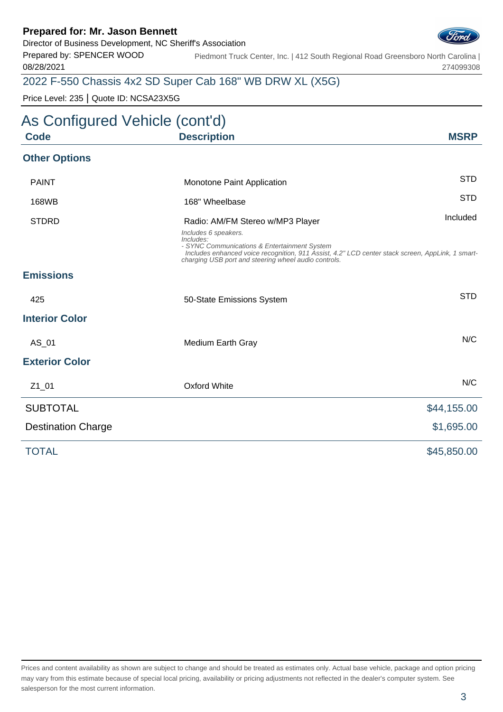Director of Business Development, NC Sheriff's Association

Prepared by: SPENCER WOOD 08/28/2021

Piedmont Truck Center, Inc. | 412 South Regional Road Greensboro North Carolina | 274099308

## 2022 F-550 Chassis 4x2 SD Super Cab 168" WB DRW XL (X5G)

Price Level: 235 | Quote ID: NCSA23X5G

# As Configured Vehicle (cont'd) **Code Description MSRP Other Options** PAINT **Example 20 Intervention** Monotone Paint Application **STD** 168WB 168" Wheelbase STD STDRD **Radio: AM/FM Stereo w/MP3 Player** Included Included Includes 6 speakers. Includes: - SYNC Communications & Entertainment System Includes enhanced voice recognition, 911 Assist, 4.2" LCD center stack screen, AppLink, 1 smartcharging USB port and steering wheel audio controls. **Emissions** 425 **50-State Emissions System** System STD **Interior Color** AS 01 Medium Earth Gray Note 2012 and 2012 MC **Exterior Color** Z1\_01 Oxford White N/C SUBTOTAL \$44,155.00 Destination Charge  $$1,695.00$ TOTAL \$45,850.00

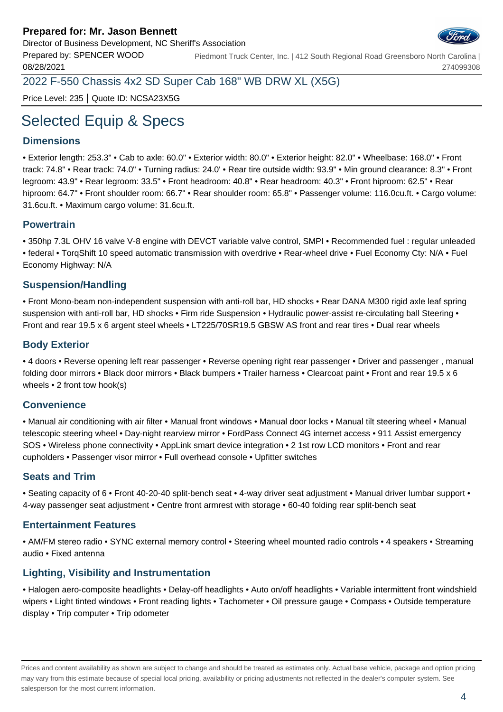

Prepared by: SPENCER WOOD 08/28/2021 Piedmont Truck Center, Inc. | 412 South Regional Road Greensboro North Carolina | 274099308

2022 F-550 Chassis 4x2 SD Super Cab 168" WB DRW XL (X5G)

Price Level: 235 | Quote ID: NCSA23X5G

# Selected Equip & Specs

#### **Dimensions**

• Exterior length: 253.3" • Cab to axle: 60.0" • Exterior width: 80.0" • Exterior height: 82.0" • Wheelbase: 168.0" • Front track: 74.8" • Rear track: 74.0" • Turning radius: 24.0' • Rear tire outside width: 93.9" • Min ground clearance: 8.3" • Front legroom: 43.9" • Rear legroom: 33.5" • Front headroom: 40.8" • Rear headroom: 40.3" • Front hiproom: 62.5" • Rear hiproom: 64.7" • Front shoulder room: 66.7" • Rear shoulder room: 65.8" • Passenger volume: 116.0cu.ft. • Cargo volume: 31.6cu.ft. • Maximum cargo volume: 31.6cu.ft.

#### **Powertrain**

• 350hp 7.3L OHV 16 valve V-8 engine with DEVCT variable valve control, SMPI • Recommended fuel : regular unleaded • federal • TorqShift 10 speed automatic transmission with overdrive • Rear-wheel drive • Fuel Economy Cty: N/A • Fuel Economy Highway: N/A

#### **Suspension/Handling**

• Front Mono-beam non-independent suspension with anti-roll bar, HD shocks • Rear DANA M300 rigid axle leaf spring suspension with anti-roll bar, HD shocks • Firm ride Suspension • Hydraulic power-assist re-circulating ball Steering • Front and rear 19.5 x 6 argent steel wheels • LT225/70SR19.5 GBSW AS front and rear tires • Dual rear wheels

#### **Body Exterior**

• 4 doors • Reverse opening left rear passenger • Reverse opening right rear passenger • Driver and passenger , manual folding door mirrors • Black door mirrors • Black bumpers • Trailer harness • Clearcoat paint • Front and rear 19.5 x 6 wheels • 2 front tow hook(s)

#### **Convenience**

• Manual air conditioning with air filter • Manual front windows • Manual door locks • Manual tilt steering wheel • Manual telescopic steering wheel • Day-night rearview mirror • FordPass Connect 4G internet access • 911 Assist emergency SOS • Wireless phone connectivity • AppLink smart device integration • 2 1st row LCD monitors • Front and rear cupholders • Passenger visor mirror • Full overhead console • Upfitter switches

#### **Seats and Trim**

• Seating capacity of 6 • Front 40-20-40 split-bench seat • 4-way driver seat adjustment • Manual driver lumbar support • 4-way passenger seat adjustment • Centre front armrest with storage • 60-40 folding rear split-bench seat

#### **Entertainment Features**

• AM/FM stereo radio • SYNC external memory control • Steering wheel mounted radio controls • 4 speakers • Streaming audio • Fixed antenna

#### **Lighting, Visibility and Instrumentation**

• Halogen aero-composite headlights • Delay-off headlights • Auto on/off headlights • Variable intermittent front windshield wipers • Light tinted windows • Front reading lights • Tachometer • Oil pressure gauge • Compass • Outside temperature display • Trip computer • Trip odometer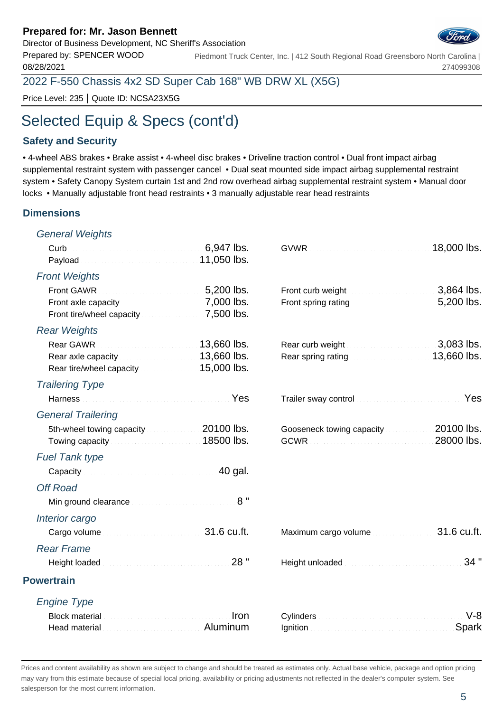Director of Business Development, NC Sheriff's Association

Prepared by: SPENCER WOOD 08/28/2021 Piedmont Truck Center, Inc. | 412 South Regional Road Greensboro North Carolina |

2022 F-550 Chassis 4x2 SD Super Cab 168" WB DRW XL (X5G)

Price Level: 235 | Quote ID: NCSA23X5G

# Selected Equip & Specs (cont'd)

#### **Safety and Security**

• 4-wheel ABS brakes • Brake assist • 4-wheel disc brakes • Driveline traction control • Dual front impact airbag supplemental restraint system with passenger cancel • Dual seat mounted side impact airbag supplemental restraint system • Safety Canopy System curtain 1st and 2nd row overhead airbag supplemental restraint system • Manual door locks • Manually adjustable front head restraints • 3 manually adjustable rear head restraints

#### **Dimensions**

| Payload <b>Committee Committee Committee Payload</b> Committee Committee Committee Paylon 2014                                                                                                                                                                               | 18,000 lbs.                                                                                                                                                                                                                                                                                                                                                                                                                                                                                                                                                  |
|------------------------------------------------------------------------------------------------------------------------------------------------------------------------------------------------------------------------------------------------------------------------------|--------------------------------------------------------------------------------------------------------------------------------------------------------------------------------------------------------------------------------------------------------------------------------------------------------------------------------------------------------------------------------------------------------------------------------------------------------------------------------------------------------------------------------------------------------------|
|                                                                                                                                                                                                                                                                              |                                                                                                                                                                                                                                                                                                                                                                                                                                                                                                                                                              |
| Front axle capacity <b>Exercise 2000</b> lbs.                                                                                                                                                                                                                                | 3,864 lbs.                                                                                                                                                                                                                                                                                                                                                                                                                                                                                                                                                   |
|                                                                                                                                                                                                                                                                              |                                                                                                                                                                                                                                                                                                                                                                                                                                                                                                                                                              |
| Rear GAWR <b>Constant Contract 2008</b> 23,660 lbs.<br>Rear axle capacity <b>Constitution 13,660 lbs.</b>                                                                                                                                                                    |                                                                                                                                                                                                                                                                                                                                                                                                                                                                                                                                                              |
|                                                                                                                                                                                                                                                                              |                                                                                                                                                                                                                                                                                                                                                                                                                                                                                                                                                              |
| Harness <b>Mathematic Communication</b> Yes                                                                                                                                                                                                                                  |                                                                                                                                                                                                                                                                                                                                                                                                                                                                                                                                                              |
|                                                                                                                                                                                                                                                                              |                                                                                                                                                                                                                                                                                                                                                                                                                                                                                                                                                              |
| 5th-wheel towing capacity 20100 lbs.<br>Towing capacity <b>Contract Contract Contract Contract Contract Contract Contract Contract Contract Contract Contract Contract Contract Contract Contract Contract Contract Contract Contract Contract Contract Contract Contrac</b> | 28000 lbs.                                                                                                                                                                                                                                                                                                                                                                                                                                                                                                                                                   |
|                                                                                                                                                                                                                                                                              |                                                                                                                                                                                                                                                                                                                                                                                                                                                                                                                                                              |
| Capacity Capacity Capacity Capacity Capacity Capacity Capacity Capacity Capacity Capacity Capacity Capacity Capacity Capacity Capacity Capacity Capacity Capacity Capacity Capacity Capacity Capacity Capacity Capacity Capaci                                               |                                                                                                                                                                                                                                                                                                                                                                                                                                                                                                                                                              |
|                                                                                                                                                                                                                                                                              |                                                                                                                                                                                                                                                                                                                                                                                                                                                                                                                                                              |
| 8"<br>Min ground clearance <b>Minimum and Street and American</b>                                                                                                                                                                                                            |                                                                                                                                                                                                                                                                                                                                                                                                                                                                                                                                                              |
|                                                                                                                                                                                                                                                                              |                                                                                                                                                                                                                                                                                                                                                                                                                                                                                                                                                              |
| Cargo volume contracts and contracts and 31.6 cu.ft.                                                                                                                                                                                                                         | 31.6 cu.ft.                                                                                                                                                                                                                                                                                                                                                                                                                                                                                                                                                  |
|                                                                                                                                                                                                                                                                              |                                                                                                                                                                                                                                                                                                                                                                                                                                                                                                                                                              |
| 28 "<br>Height loaded <b>Material Community</b> and the community                                                                                                                                                                                                            | 34"                                                                                                                                                                                                                                                                                                                                                                                                                                                                                                                                                          |
|                                                                                                                                                                                                                                                                              |                                                                                                                                                                                                                                                                                                                                                                                                                                                                                                                                                              |
|                                                                                                                                                                                                                                                                              |                                                                                                                                                                                                                                                                                                                                                                                                                                                                                                                                                              |
| Iron<br>Head material <b>Exercises</b> Aluminum                                                                                                                                                                                                                              | $V-8$<br>Spark                                                                                                                                                                                                                                                                                                                                                                                                                                                                                                                                               |
|                                                                                                                                                                                                                                                                              | Front curb weight<br>Front spring rating <b>EXECUTE:</b> 5,200 lbs.<br>Rear curb weight <b>Exercised Services</b> 2,083 lbs.<br>Rear spring rating <b>Election Contract 13,660 lbs.</b><br>Trailer sway control <b>Constitution Constitution</b> Yes<br>Gooseneck towing capacity 20100 lbs.<br>Maximum cargo volume<br>Height unloaded <b>Manufacturer and the property of the set of the set of the set of the set of the set of the set of the set of the set of the set of the set of the set of the set of the set of the set of the set of the set</b> |

Prices and content availability as shown are subject to change and should be treated as estimates only. Actual base vehicle, package and option pricing may vary from this estimate because of special local pricing, availability or pricing adjustments not reflected in the dealer's computer system. See salesperson for the most current information.



274099308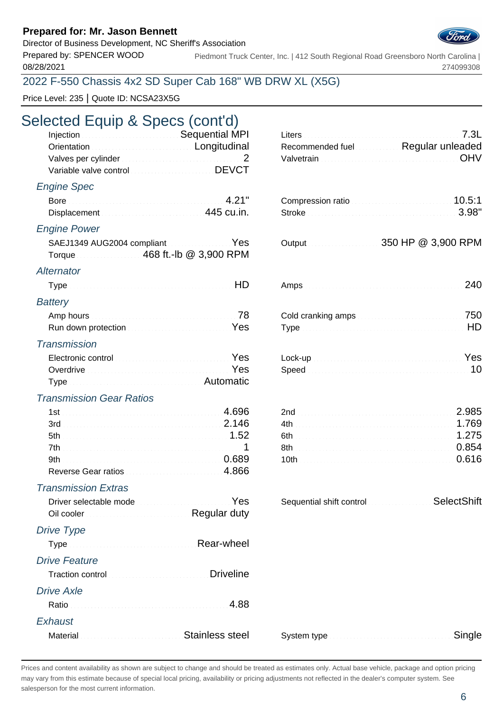Director of Business Development, NC Sheriff's Association

Prepared by: SPENCER WOOD 08/28/2021

Piedmont Truck Center, Inc. | 412 South Regional Road Greensboro North Carolina | 274099308

## 2022 F-550 Chassis 4x2 SD Super Cab 168" WB DRW XL (X5G)

Price Level: 235 | Quote ID: NCSA23X5G

# Selected Equip & Specs (cont'd)

| Injection <b>Contract Contract Contract Contract Contract Contract Contract Contract Contract Contract Contract Contract Contract Contract Contract Contract Contract Contract Contract Contract Contract Contract Contract Cont</b> |  |
|--------------------------------------------------------------------------------------------------------------------------------------------------------------------------------------------------------------------------------------|--|
| Orientation <b>Construction</b> Congitudinal                                                                                                                                                                                         |  |
| Valves per cylinder <b>Election Controller Controller</b> 2                                                                                                                                                                          |  |
| Variable valve control value of the DEVCT                                                                                                                                                                                            |  |

#### Engine Spec

| <b>Engine Power</b>        |  |  |
|----------------------------|--|--|
| SAEJ1349 AUG2004 compliant |  |  |
|                            |  |  |
|                            |  |  |

#### **Alternator**

| Battery                                                                                                  |  |  |  |
|----------------------------------------------------------------------------------------------------------|--|--|--|
| Amp hours <b>Amp</b> hours <b>Amp</b> hours <b>Amp</b> hours <b>Amp</b> hours <b>Amp Amp Amp Ample 1</b> |  |  |  |

| Run down protection <b>Constitution</b> Construction Construction Pes |  |
|-----------------------------------------------------------------------|--|
|                                                                       |  |

#### **Transmission**

| Electronic control <b>Electronic Control</b>                |  |
|-------------------------------------------------------------|--|
| Overdrive <b>Constitution Constitution Constitution</b> Yes |  |
| Type Mathematic Mathematic Automatic                        |  |

#### Transmission Gear Ratios

| $1st$ $4.696$       |  |
|---------------------|--|
|                     |  |
|                     |  |
|                     |  |
|                     |  |
| Reverse Gear ratios |  |

#### Transmission Extras

Driver selectable mode Oil cooler **Regular duty** 

#### Drive Type

| Type measures and all all all all Rear-wheel                                                                                                                                                                                         |  |
|--------------------------------------------------------------------------------------------------------------------------------------------------------------------------------------------------------------------------------------|--|
| Drive Feature                                                                                                                                                                                                                        |  |
| Traction control <b>Control Control Control Control Control Control Control Control Control Control Control Control Control Control Control Control Control Control Control Control Control Control Control Control Control Cont</b> |  |
| <b>Drive Axle</b>                                                                                                                                                                                                                    |  |
|                                                                                                                                                                                                                                      |  |
| Exhaust                                                                                                                                                                                                                              |  |
| المستبد سماحا والمناط<br>.                                                                                                                                                                                                           |  |

| Injection <b>Committee Committee Committee Committee Committee Committee Committee Committee Committee Committee</b><br>Orientation <b>Commission</b> Conditional Longitudinal<br>Variable valve control Material Communication DEVCT |           | Recommended fuel Regular unleaded                                                        | 7.3L<br><b>OHV</b> |
|---------------------------------------------------------------------------------------------------------------------------------------------------------------------------------------------------------------------------------------|-----------|------------------------------------------------------------------------------------------|--------------------|
| gine Spec                                                                                                                                                                                                                             |           | Compression ratio                                                                        | 10.5:1             |
| Displacement Material Communication 445 cu.in.                                                                                                                                                                                        |           |                                                                                          | 3.98"              |
| gine Power                                                                                                                                                                                                                            |           |                                                                                          |                    |
| SAEJ1349 AUG2004 compliant                                                                                                                                                                                                            | Yes       | Output 0.000 MM 350 HP @ 3,900 RPM                                                       |                    |
| ernator                                                                                                                                                                                                                               |           |                                                                                          |                    |
|                                                                                                                                                                                                                                       | <b>HD</b> |                                                                                          | 240                |
| ttery                                                                                                                                                                                                                                 |           |                                                                                          |                    |
| Run down protection <b>Constitution of the Constitution</b> Yes                                                                                                                                                                       |           | Cold cranking amps <b>Cold cranking</b> amps and contain a series of the series of $750$ |                    |
| ansmission                                                                                                                                                                                                                            |           |                                                                                          |                    |
| Electronic control <b>Electronic Control</b>                                                                                                                                                                                          |           |                                                                                          |                    |
| Overdrive <b>Commission Commission Commission</b> Yes                                                                                                                                                                                 |           |                                                                                          |                    |
| ansmission Gear Ratios                                                                                                                                                                                                                |           |                                                                                          |                    |
|                                                                                                                                                                                                                                       |           |                                                                                          | 2.985              |
|                                                                                                                                                                                                                                       |           |                                                                                          | 1.769              |
|                                                                                                                                                                                                                                       |           | 6th 1.275                                                                                |                    |
|                                                                                                                                                                                                                                       |           | 8th 0.854                                                                                |                    |
|                                                                                                                                                                                                                                       |           | 10th 0.616                                                                               |                    |
| Reverse Gear ratios Manuel A.866                                                                                                                                                                                                      |           |                                                                                          |                    |
| ansmission Extras                                                                                                                                                                                                                     |           |                                                                                          |                    |

| Sequential shift control management | SelectShift |
|-------------------------------------|-------------|
|-------------------------------------|-------------|

| Material Material Committee of Stainless steel |  | System type |
|------------------------------------------------|--|-------------|
|------------------------------------------------|--|-------------|

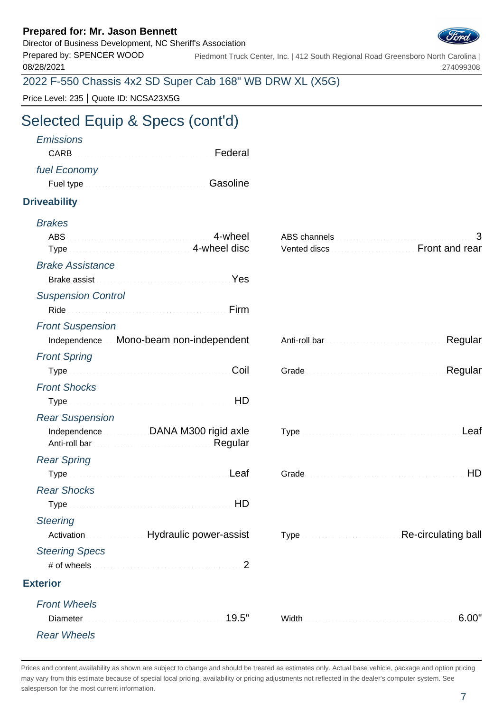Director of Business Development, NC Sheriff's Association



Prepared by: SPENCER WOOD 08/28/2021 Piedmont Truck Center, Inc. | 412 South Regional Road Greensboro North Carolina | 274099308

2022 F-550 Chassis 4x2 SD Super Cab 168" WB DRW XL (X5G)

Price Level: 235 | Quote ID: NCSA23X5G

# Selected Equip & Specs (cont'd)

| <b>Emissions</b><br><b>CARB</b>                                                                                                                                                                                                                      | Federal                       |                                                                                         |                     |
|------------------------------------------------------------------------------------------------------------------------------------------------------------------------------------------------------------------------------------------------------|-------------------------------|-----------------------------------------------------------------------------------------|---------------------|
|                                                                                                                                                                                                                                                      |                               |                                                                                         |                     |
| fuel Economy<br>Fuel type <b>Executive Contract Contract Contract Contract Contract Contract Contract Contract Contract Contract Contract Contract Contract Contract Contract Contract Contract Contract Contract Contract Contract Contract Con</b> |                               |                                                                                         |                     |
|                                                                                                                                                                                                                                                      |                               |                                                                                         |                     |
| <b>Driveability</b>                                                                                                                                                                                                                                  |                               |                                                                                         |                     |
| <b>Brakes</b>                                                                                                                                                                                                                                        |                               |                                                                                         |                     |
|                                                                                                                                                                                                                                                      | 4-wheel                       |                                                                                         | 3                   |
| Type Manuscription of the Allen A-wheel disc                                                                                                                                                                                                         |                               | Vented discs [11] Vented discs [11] Vented discs [11] Vented discs [11] Vented and rear |                     |
| <b>Brake Assistance</b>                                                                                                                                                                                                                              |                               |                                                                                         |                     |
| Brake assist <b>Executive Contract Contract of Article Contract Contract Contract Contract Contract Contract Control Contract Contract Contract Contract Contract Contract Contract Contract Contract Contract Contract Contract</b>                 |                               |                                                                                         |                     |
| <b>Suspension Control</b>                                                                                                                                                                                                                            |                               |                                                                                         |                     |
| Ride                                                                                                                                                                                                                                                 | Firm                          |                                                                                         |                     |
| <b>Front Suspension</b>                                                                                                                                                                                                                              |                               |                                                                                         |                     |
| Independence Mono-beam non-independent                                                                                                                                                                                                               |                               |                                                                                         | Regular             |
| <b>Front Spring</b>                                                                                                                                                                                                                                  |                               |                                                                                         |                     |
|                                                                                                                                                                                                                                                      | Coil                          |                                                                                         | Regular             |
| <b>Front Shocks</b>                                                                                                                                                                                                                                  |                               |                                                                                         |                     |
|                                                                                                                                                                                                                                                      |                               |                                                                                         |                     |
| <b>Rear Suspension</b>                                                                                                                                                                                                                               |                               |                                                                                         |                     |
| Independence DANA M300 rigid axle                                                                                                                                                                                                                    | Regular                       |                                                                                         | Leaf                |
| <b>Rear Spring</b>                                                                                                                                                                                                                                   |                               |                                                                                         |                     |
| Type Manual Communication of the Leaf                                                                                                                                                                                                                |                               |                                                                                         | HD                  |
| <b>Rear Shocks</b>                                                                                                                                                                                                                                   |                               |                                                                                         |                     |
| Type Manual Manual Communication of the HD                                                                                                                                                                                                           |                               |                                                                                         |                     |
| <b>Steering</b>                                                                                                                                                                                                                                      |                               |                                                                                         |                     |
| Activation                                                                                                                                                                                                                                           | <b>Hydraulic power-assist</b> |                                                                                         | Re-circulating ball |
| <b>Steering Specs</b>                                                                                                                                                                                                                                |                               |                                                                                         |                     |
| # of wheels                                                                                                                                                                                                                                          | 2                             |                                                                                         |                     |
| <b>Exterior</b>                                                                                                                                                                                                                                      |                               |                                                                                         |                     |
| <b>Front Wheels</b>                                                                                                                                                                                                                                  |                               |                                                                                         |                     |
| Diameter                                                                                                                                                                                                                                             |                               |                                                                                         | 6.00"               |
| <b>Rear Wheels</b>                                                                                                                                                                                                                                   |                               |                                                                                         |                     |
|                                                                                                                                                                                                                                                      |                               |                                                                                         |                     |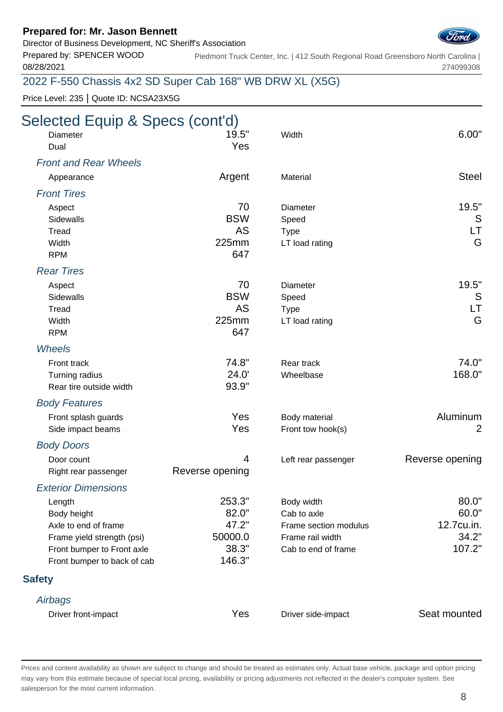Director of Business Development, NC Sheriff's Association

Prepared by: SPENCER WOOD 08/28/2021

Piedmont Truck Center, Inc. | 412 South Regional Road Greensboro North Carolina | 274099308

## 2022 F-550 Chassis 4x2 SD Super Cab 168" WB DRW XL (X5G)

Price Level: 235 | Quote ID: NCSA23X5G

# Selected Equip & Specs (cont'd)

#### Front and Rear Wheels

| Appearance and the continuum of the Argent | Material Material Committee of the Material Committee of the Steel |  |
|--------------------------------------------|--------------------------------------------------------------------|--|
|                                            |                                                                    |  |

#### Front Tires

| Aspect 2000 and 2000 and 2000 and 2000 and 2000 and 2000 and 2000 and 2000 and 2000 and 2000 and 200                                                                                                                                 | Viameter $\sim$ 19.5" |  |
|--------------------------------------------------------------------------------------------------------------------------------------------------------------------------------------------------------------------------------------|-----------------------|--|
| Sidewalls <b>Example 2018</b> Sidewalls <b>EXAMPLE</b>                                                                                                                                                                               |                       |  |
| Tread <b>Executive Contract Contract Contract Contract Contract Contract Contract Contract Contract Contract Contract Contract Contract Contract Contract Contract Contract Contract Contract Contract Contract Contract Contrac</b> |                       |  |
| Width <b>Midth Account Account Account 225mm</b>                                                                                                                                                                                     |                       |  |
|                                                                                                                                                                                                                                      |                       |  |

#### Rear Tires

| Sidewalls <b>Example 2018</b> Sidewalls <b>EXAMPLE</b> |  |  |
|--------------------------------------------------------|--|--|
|                                                        |  |  |
|                                                        |  |  |
|                                                        |  |  |

#### Wheels

| Turning radius <b>Exercise 24.0'</b> Turning radius <b>Exercise 24.0'</b> |  | 168.0" |
|---------------------------------------------------------------------------|--|--------|
| Rear tire outside width <b>Construction Construction</b> 93.9"            |  |        |

#### Body Features

| Front splash guards                                              |  | Body material <b>Executive Control Control Control Control Control Control Control Control Control Control Control Control Control Control Control Control Control Control Control Control Control Control Control Control Contr</b> |
|------------------------------------------------------------------|--|--------------------------------------------------------------------------------------------------------------------------------------------------------------------------------------------------------------------------------------|
| Side impact beams <b>Election Contract Contract Prestate</b> Yes |  | <b>Front tow hook(s)</b> Material Material Material Material Material Material Material Material Material Material Material Material Material Material Material Material Material Material Material Material Material Material Mate  |

#### Body Doors

| Door count                           |  |
|--------------------------------------|--|
| Right rear passenger Reverse opening |  |

#### Exterior Dimensions

| Length 253.3"                                                                                                                                                                                                                        |  |
|--------------------------------------------------------------------------------------------------------------------------------------------------------------------------------------------------------------------------------------|--|
| Body height <b>Executive Contract Contract Contract Contract Contract Contract Contract Contract Contract Contract Contract Contract Contract Contract Contract Contract Contract Contract Contract Contract Contract Contract C</b> |  |
| Axle to end of frame                                                                                                                                                                                                                 |  |
| Frame yield strength (psi) [19] Solomon Solomon Solomon Solomon Solomon Solomon Solomon Solomon Solomon Solomon S                                                                                                                    |  |
| Front bumper to Front axle <b>Exercise 2018</b> 38.3"                                                                                                                                                                                |  |
| Front bumper to back of cab                                                                                                                                                                                                          |  |

#### **Safety**

#### **Airbags**

| Driver front-impact New Yes |  |
|-----------------------------|--|
|-----------------------------|--|

| - |  |  |
|---|--|--|

|  |  | Material <b>Material Commission Commission</b> Steel |
|--|--|------------------------------------------------------|
|  |  |                                                      |

| Speed Speed Speed Speed Speed Speed Speed Speed Speed Speed Speed Speed Speed Speed Speed Speed Speed Speed Speed Speed Speed Speed Speed Speed Speed Speed Speed Speed Speed Speed Speed Speed Speed Speed Speed Speed Speed |  |
|-------------------------------------------------------------------------------------------------------------------------------------------------------------------------------------------------------------------------------|--|
|                                                                                                                                                                                                                               |  |
| LT load rating <b>Executive Community</b> C                                                                                                                                                                                   |  |

| LT load rating $\sim$ . A construction of the constraint $\mathsf G$ |  |
|----------------------------------------------------------------------|--|

| Body material <b>Commission Commission Aluminum</b> |  |
|-----------------------------------------------------|--|
|                                                     |  |

Left rear passenger Reverse opening

|                                                                   | Body width <b>Exercise Contract Contract of SO.O"</b>                                                                                                                                                                                |  |
|-------------------------------------------------------------------|--------------------------------------------------------------------------------------------------------------------------------------------------------------------------------------------------------------------------------------|--|
|                                                                   | Cab to axle <b>Exercise Exercise Contract Contract Contract Contract Contract Contract Contract Contract Contract Contract Contract Contract Contract Contract Contract Contract Contract Contract Contract Contract Contract Co</b> |  |
| Axle to end of frame $\qquad \qquad \qquad \textbf{47.2}^{\circ}$ | Frame section modulus 12.7cu.in.                                                                                                                                                                                                     |  |
| Frame yield strength (psi) $\ldots$ . The set of 50000.0          | Frame rail width <b>Exercise Contract Contract 2</b>                                                                                                                                                                                 |  |
| Front bumper to Front axle 38.3"                                  | Cab to end of frame                                                                                                                                                                                                                  |  |

Driver side-impact Seat mounted

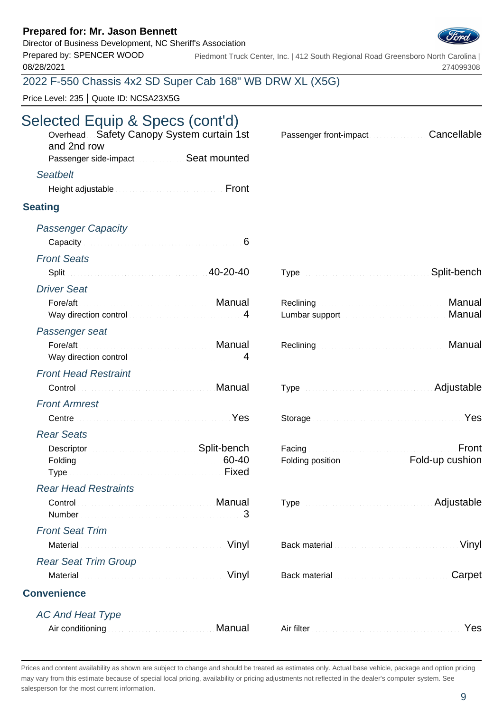## Director of Business Development, NC Sheriff's Association



Prepared by: SPENCER WOOD 08/28/2021 Piedmont Truck Center, Inc. | 412 South Regional Road Greensboro North Carolina | 274099308

## 2022 F-550 Chassis 4x2 SD Super Cab 168" WB DRW XL (X5G)

Price Level: 235 | Quote ID: NCSA23X5G

# Selected Equip & Specs (cont'd)

| Overhead Safety Canopy System curtain 1st<br>and 2nd row<br>Passenger side-impact Seat mounted                                                                                                 | Cancellable<br>Passenger front-impact <b>Communist Passenger</b>                                                                                                                                                                     |
|------------------------------------------------------------------------------------------------------------------------------------------------------------------------------------------------|--------------------------------------------------------------------------------------------------------------------------------------------------------------------------------------------------------------------------------------|
| <b>Seatbelt</b>                                                                                                                                                                                |                                                                                                                                                                                                                                      |
| Height adjustable <b>Express Community</b> Front                                                                                                                                               |                                                                                                                                                                                                                                      |
|                                                                                                                                                                                                |                                                                                                                                                                                                                                      |
| <b>Seating</b>                                                                                                                                                                                 |                                                                                                                                                                                                                                      |
| <b>Passenger Capacity</b>                                                                                                                                                                      |                                                                                                                                                                                                                                      |
| Capacity <b>Capacity Capacity Capacity Capacity Capacity Capacity Capacity Capacity Capacity Capacity Capacity Capacity Capacity Capacity Capacity Capacity Capacity Capacity Capacity Cap</b> |                                                                                                                                                                                                                                      |
| <b>Front Seats</b>                                                                                                                                                                             |                                                                                                                                                                                                                                      |
| Split 20-20-40                                                                                                                                                                                 | Split-bench                                                                                                                                                                                                                          |
| <b>Driver Seat</b>                                                                                                                                                                             |                                                                                                                                                                                                                                      |
|                                                                                                                                                                                                | Reclining <b>Executive Contract Contract Contract Contract Contract Contract Contract Contract Contract Contract Contract Contract Contract Contract Contract Contract Contract Contract Contract Contract Contract Contract Con</b> |
| Way direction control manufacturers and support of 4                                                                                                                                           | Manual                                                                                                                                                                                                                               |
| Passenger seat                                                                                                                                                                                 |                                                                                                                                                                                                                                      |
| Way direction control manufactured way direction control                                                                                                                                       | Manual                                                                                                                                                                                                                               |
| <b>Front Head Restraint</b>                                                                                                                                                                    |                                                                                                                                                                                                                                      |
| Control <b>Control Control Control Control Control Control Control Control Control Control Control Control Control Control Control Control Control Control Control Control Control Con</b>     | Type measure the contract of Adjustable                                                                                                                                                                                              |
| <b>Front Armrest</b>                                                                                                                                                                           |                                                                                                                                                                                                                                      |
| Centre New Yes                                                                                                                                                                                 | Storage Manual Communication of the Yes                                                                                                                                                                                              |
| <b>Rear Seats</b>                                                                                                                                                                              |                                                                                                                                                                                                                                      |
| Descriptor <b>Continuing Continuing Split-bench</b>                                                                                                                                            | Facing <b>Executive Communities</b><br>Front                                                                                                                                                                                         |
| Folding 60-40<br>Type Manuscript All Pixed Fixed                                                                                                                                               | Folding position <b>Exercise Section</b> Fold-up cushion                                                                                                                                                                             |
| <b>Rear Head Restraints</b>                                                                                                                                                                    |                                                                                                                                                                                                                                      |
| Control <b>Control Control</b><br>3<br>Number                                                                                                                                                  | Adjustable                                                                                                                                                                                                                           |
| <b>Front Seat Trim</b>                                                                                                                                                                         |                                                                                                                                                                                                                                      |
| Vinyl<br>Material                                                                                                                                                                              | Vinyl<br>Back material communications and continued                                                                                                                                                                                  |
| <b>Rear Seat Trim Group</b>                                                                                                                                                                    |                                                                                                                                                                                                                                      |
| Vinyl<br>Material                                                                                                                                                                              | Carpet<br>Back material communications and containing                                                                                                                                                                                |
| <b>Convenience</b>                                                                                                                                                                             |                                                                                                                                                                                                                                      |
|                                                                                                                                                                                                |                                                                                                                                                                                                                                      |
| <b>AC And Heat Type</b><br>Air conditioning <b>Air Conditioning</b>                                                                                                                            | Yes                                                                                                                                                                                                                                  |
|                                                                                                                                                                                                |                                                                                                                                                                                                                                      |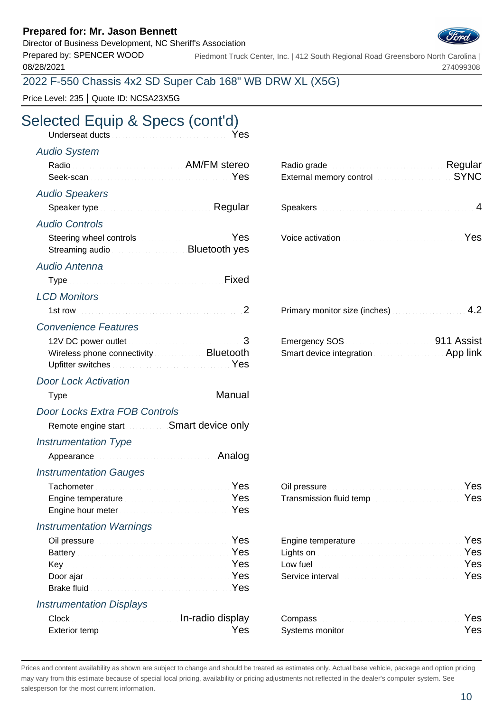Director of Business Development, NC Sheriff's Association

Prepared by: SPENCER WOOD 08/28/2021

Piedmont Truck Center, Inc. | 412 South Regional Road Greensboro North Carolina | 274099308

## 2022 F-550 Chassis 4x2 SD Super Cab 168" WB DRW XL (X5G)

Price Level: 235 | Quote ID: NCSA23X5G

# Selected Equip & Specs (cont'd)

| Underseat ducts <b>Constitution Constitution</b> Yes                                                                                                                                                                                |                                                                                                                                                                                                                                                                                                                 |
|-------------------------------------------------------------------------------------------------------------------------------------------------------------------------------------------------------------------------------------|-----------------------------------------------------------------------------------------------------------------------------------------------------------------------------------------------------------------------------------------------------------------------------------------------------------------|
| <b>Audio System</b>                                                                                                                                                                                                                 |                                                                                                                                                                                                                                                                                                                 |
| Radio Radio AM/FM stereo<br>Yes                                                                                                                                                                                                     | Radio grade <b>Material Contract Contract Property</b> Regular<br><b>SYNC</b><br>External memory control memorial control and the state of the state of the state of the state of the state of the state of the state of the state of the state of the state of the state of the state of the state of the stat |
| <b>Audio Speakers</b>                                                                                                                                                                                                               |                                                                                                                                                                                                                                                                                                                 |
| Speaker type <b>Speaker</b> type <b>Speaker</b> type <b>Speaker</b> type <b>Speaker</b> type <b>Speaker</b> type <b>Speaker Speaker Speaker Speaker Speaker Speaker Speaker Speaker Speaker Speaker Speaker Speaker Speaker Spe</b> |                                                                                                                                                                                                                                                                                                                 |
| <b>Audio Controls</b>                                                                                                                                                                                                               |                                                                                                                                                                                                                                                                                                                 |
| Yes<br>Steering wheel controls <b>Steering</b> wheel controls<br>Streaming audio                                                                                                                                                    | Yes                                                                                                                                                                                                                                                                                                             |
| Audio Antenna                                                                                                                                                                                                                       |                                                                                                                                                                                                                                                                                                                 |
|                                                                                                                                                                                                                                     |                                                                                                                                                                                                                                                                                                                 |
| <b>LCD Monitors</b>                                                                                                                                                                                                                 |                                                                                                                                                                                                                                                                                                                 |
|                                                                                                                                                                                                                                     | Primary monitor size (inches) Manuscriptus 4.2                                                                                                                                                                                                                                                                  |
| <b>Convenience Features</b>                                                                                                                                                                                                         |                                                                                                                                                                                                                                                                                                                 |
| 12V DC power outlet Manuscriptus and Communication 3<br>Wireless phone connectivity <b>Example 20 SHOT Bluetooth</b><br>Upfitter switches <b>Committee Committee Committee Committee</b> Yes                                        | Emergency SOS <b>Contract Contract Contract Contract Contract Contract Contract Contract Contract Contract Contract Contract Contract Contract Contract Contract Contract Contract Contract Contract Contract Contract Contract </b><br>Smart device integration <b>Smart device integration</b>                |
| <b>Door Lock Activation</b>                                                                                                                                                                                                         |                                                                                                                                                                                                                                                                                                                 |
| Type Manual Proposes and Manual Proposes and Manual                                                                                                                                                                                 |                                                                                                                                                                                                                                                                                                                 |
| <b>Door Locks Extra FOB Controls</b>                                                                                                                                                                                                |                                                                                                                                                                                                                                                                                                                 |
| Remote engine start <b>SMart device only</b>                                                                                                                                                                                        |                                                                                                                                                                                                                                                                                                                 |
| <b>Instrumentation Type</b>                                                                                                                                                                                                         |                                                                                                                                                                                                                                                                                                                 |
| Analog                                                                                                                                                                                                                              |                                                                                                                                                                                                                                                                                                                 |
| <b>Instrumentation Gauges</b>                                                                                                                                                                                                       |                                                                                                                                                                                                                                                                                                                 |
| <u> Yes</u><br>Tachometer                                                                                                                                                                                                           | Oil pressure <b>Executive Community</b> Pes                                                                                                                                                                                                                                                                     |
| Engine temperature <b>Engine Strategie and Strategie and Strategie and Strategie and Strategie and Strategie and S</b>                                                                                                              | Transmission fluid tempYes                                                                                                                                                                                                                                                                                      |
| Yes<br>Engine hour meter <b>Engine and The Property Adventurer</b>                                                                                                                                                                  |                                                                                                                                                                                                                                                                                                                 |
| <b>Instrumentation Warnings</b>                                                                                                                                                                                                     |                                                                                                                                                                                                                                                                                                                 |
| Yes<br>Oil pressure <b>Election Communication</b><br>Battery <b>Executive Community</b> Pes                                                                                                                                         | Yes<br>Yes<br>Lights on <b>Manual Commission</b> Commission and Commission                                                                                                                                                                                                                                      |
| Yes                                                                                                                                                                                                                                 | Yes                                                                                                                                                                                                                                                                                                             |
| Yes<br>Door ajar                                                                                                                                                                                                                    | Yes                                                                                                                                                                                                                                                                                                             |
| Yes                                                                                                                                                                                                                                 |                                                                                                                                                                                                                                                                                                                 |
| <b>Instrumentation Displays</b>                                                                                                                                                                                                     |                                                                                                                                                                                                                                                                                                                 |

| Clock Clock Clock Clock Clock Clock Clock Clock Clock Clock Clock Clock Clock Clock Clock Clock Clock Clock Clock Clock Clock Clock Clock Clock Clock Clock Clock Clock Clock Clock Clock Clock Clock Clock Clock Clock Clock |                                                                                                                                                                                                                                      |     |
|-------------------------------------------------------------------------------------------------------------------------------------------------------------------------------------------------------------------------------|--------------------------------------------------------------------------------------------------------------------------------------------------------------------------------------------------------------------------------------|-----|
|                                                                                                                                                                                                                               | Systems monitor <b>Committee Committee Committee Committee Committee Committee Committee Committee Committee Committee Committee Committee Committee Committee Committee Committee Committee Committee Committee Committee Commi</b> | Yes |

| Radio grade <b>Material Contract Contract Regular</b><br>External memory control <b>External SYNC</b> |  |
|-------------------------------------------------------------------------------------------------------|--|
|                                                                                                       |  |

| oice activation <b>contract to the contract of the Street</b> West |  |
|--------------------------------------------------------------------|--|
|--------------------------------------------------------------------|--|

| Primary monitor size (inches) |  |
|-------------------------------|--|
|-------------------------------|--|

| Emergency SOS                                        | 911 Assist |
|------------------------------------------------------|------------|
| <b>Smart device integration <i>Communication</i></b> | App link   |

| Transmission fluid temp <b>Construction Construction</b> Yes |  |
|--------------------------------------------------------------|--|

| Engine temperature <b>Engine Strategier Strategier Press</b>                                                                                                                                                                         |  |
|--------------------------------------------------------------------------------------------------------------------------------------------------------------------------------------------------------------------------------------|--|
| Lights on <b>Executive Contract Contract on the State of Tes</b>                                                                                                                                                                     |  |
| Low fuel <b>Executive Contract Contract Contract Contract Contract Contract Contract Contract Contract Contract Contract Contract Contract Contract Contract Contract Contract Contract Contract Contract Contract Contract Cont</b> |  |
| Service interval <b>Exercise Construction</b> Pes                                                                                                                                                                                    |  |

| Systems monitor <b>Constitution Constitution</b> Yes |  |
|------------------------------------------------------|--|

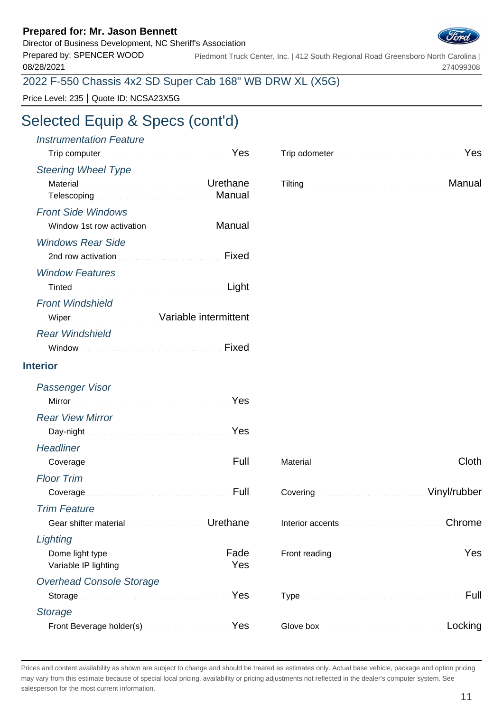Director of Business Development, NC Sheriff's Association Prepared by: SPENCER WOOD

08/28/2021

Piedmont Truck Center, Inc. | 412 South Regional Road Greensboro North Carolina | 274099308

## 2022 F-550 Chassis 4x2 SD Super Cab 168" WB DRW XL (X5G)

Price Level: 235 | Quote ID: NCSA23X5G

# Selected Equip & Specs (cont'd)

| <b>Instrumentation Feature</b><br>Trip computer <b>Executive Computer</b> 1999                                 |          | Trip odometer <b>Executive Contract Contract of Press</b>                                                                                                                                                                           |         |
|----------------------------------------------------------------------------------------------------------------|----------|-------------------------------------------------------------------------------------------------------------------------------------------------------------------------------------------------------------------------------------|---------|
| <b>Steering Wheel Type</b>                                                                                     |          |                                                                                                                                                                                                                                     |         |
| Material <b>Material According to the Contract of Contract According Urethane</b><br>Telescoping <b>Manual</b> |          | Tilting <b>Election Community Community</b> Community Community Community Community Community Community Community Community Community Community Community Community Community Community Community Community Community Community Com |         |
| <b>Front Side Windows</b>                                                                                      |          |                                                                                                                                                                                                                                     |         |
| Window 1st row activation <b>Communist Contract Manual</b>                                                     |          |                                                                                                                                                                                                                                     |         |
| <b>Windows Rear Side</b>                                                                                       |          |                                                                                                                                                                                                                                     |         |
|                                                                                                                | Fixed    |                                                                                                                                                                                                                                     |         |
| <b>Window Features</b>                                                                                         |          |                                                                                                                                                                                                                                     |         |
|                                                                                                                | Light    |                                                                                                                                                                                                                                     |         |
| <b>Front Windshield</b>                                                                                        |          |                                                                                                                                                                                                                                     |         |
| Wiper Wiper Street Management Variable intermittent                                                            |          |                                                                                                                                                                                                                                     |         |
| <b>Rear Windshield</b>                                                                                         |          |                                                                                                                                                                                                                                     |         |
|                                                                                                                | Fixed    |                                                                                                                                                                                                                                     |         |
| <b>Interior</b>                                                                                                |          |                                                                                                                                                                                                                                     |         |
| Passenger Visor                                                                                                |          |                                                                                                                                                                                                                                     |         |
| Mirror Nest Mirror (1999) 1996 Mirror (1999) 1996                                                              |          |                                                                                                                                                                                                                                     |         |
| <b>Rear View Mirror</b>                                                                                        |          |                                                                                                                                                                                                                                     |         |
| Day-night News All Albert Communications of Nes                                                                |          |                                                                                                                                                                                                                                     |         |
| <b>Headliner</b>                                                                                               |          |                                                                                                                                                                                                                                     |         |
| Coverage Manuscriptus and Coverage Manuscriptus Pull                                                           |          |                                                                                                                                                                                                                                     | Cloth   |
| <b>Floor Trim</b>                                                                                              |          |                                                                                                                                                                                                                                     |         |
| Coverage                                                                                                       |          | Covering Continuum Covering Covering Covering Covering Covering Covering Covering Covering Covering Covering Covering Covering Covering Covering Covering Covering Covering Covering Covering Covering Covering Covering Cover      |         |
| <b>Trim Feature</b>                                                                                            |          |                                                                                                                                                                                                                                     |         |
| Gear shifter material <b>Communications</b>                                                                    | Urethane |                                                                                                                                                                                                                                     | Chrome  |
| Lighting                                                                                                       |          |                                                                                                                                                                                                                                     |         |
| Variable IP lighting Manual Account of the Ves                                                                 | Fade     |                                                                                                                                                                                                                                     | Yes     |
| <b>Overhead Console Storage</b>                                                                                |          |                                                                                                                                                                                                                                     |         |
|                                                                                                                | Yes      |                                                                                                                                                                                                                                     | Full    |
| <b>Storage</b>                                                                                                 |          |                                                                                                                                                                                                                                     |         |
| Front Beverage holder(s) Manual Communication Ves                                                              |          |                                                                                                                                                                                                                                     | Locking |